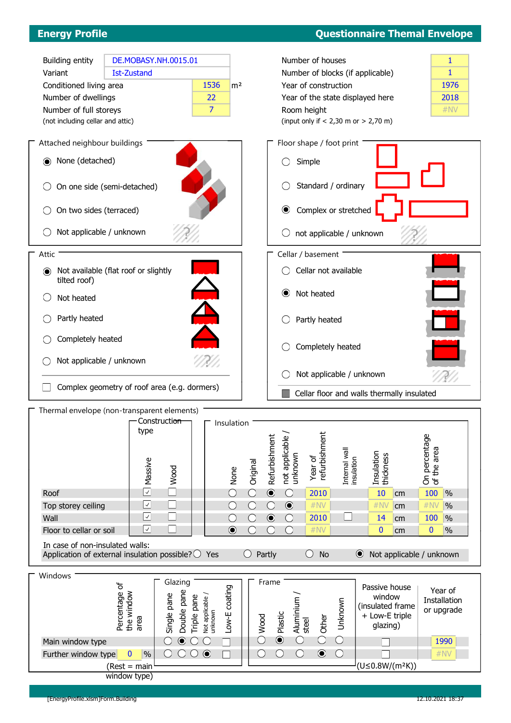## Energy Profile Questionnaire Themal Envelope